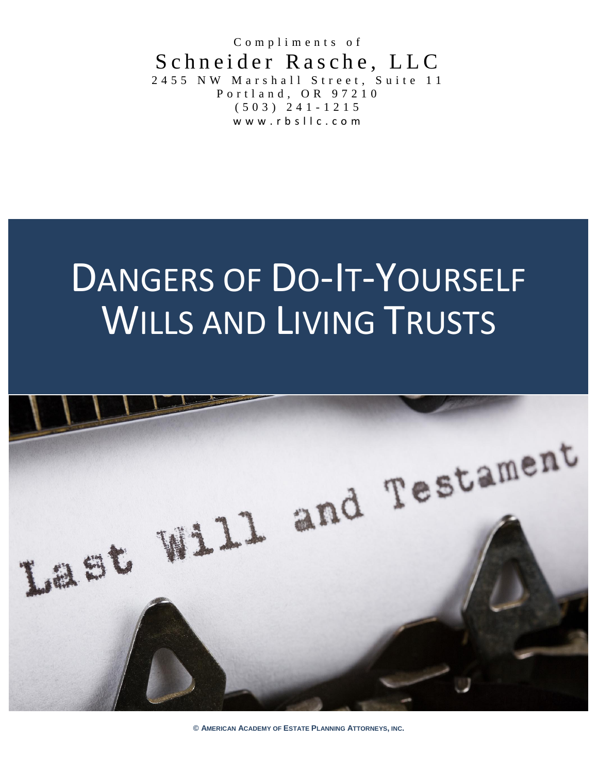Compliments of Schneider Rasche, LLC 2 4 5 5 N W M arshall Street, Suite 11 P o r t l a n d , O R 9 7 2 1 0 ( 5 0 3 ) 2 4 1 - 1 2 1 5 www.rbsllc.com

# DANGERS OF DO-IT-YOURSELF WILLS AND LIVING TRUSTS



**© AMERICAN ACADEMY OF ESTATE PLANNING ATTORNEYS, INC.**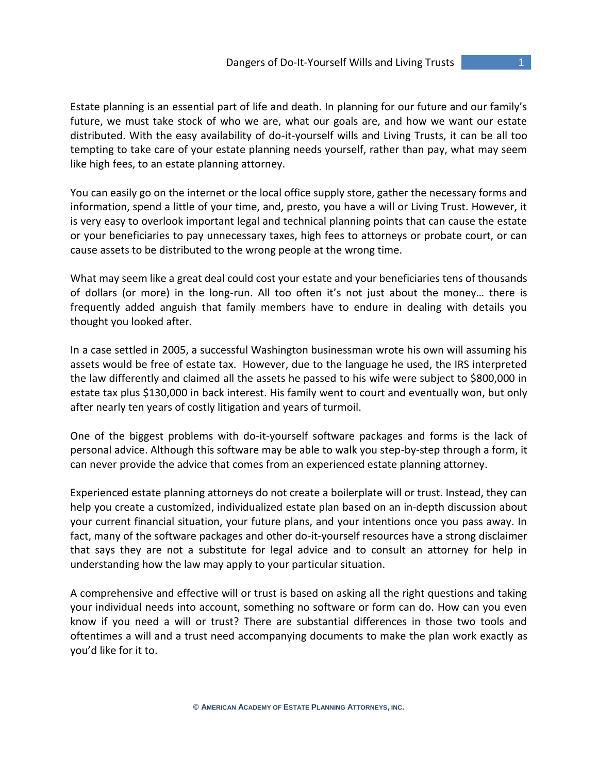Estate planning is an essential part of life and death. In planning for our future and our family's future, we must take stock of who we are, what our goals are, and how we want our estate distributed. With the easy availability of do-it-yourself wills and Living Trusts, it can be all too tempting to take care of your estate planning needs yourself, rather than pay, what may seem like high fees, to an estate planning attorney.

You can easily go on the internet or the local office supply store, gather the necessary forms and information, spend a little of your time, and, presto, you have a will or Living Trust. However, it is very easy to overlook important legal and technical planning points that can cause the estate or your beneficiaries to pay unnecessary taxes, high fees to attorneys or probate court, or can cause assets to be distributed to the wrong people at the wrong time.

What may seem like a great deal could cost your estate and your beneficiaries tens of thousands of dollars (or more) in the long-run. All too often it's not just about the money… there is frequently added anguish that family members have to endure in dealing with details you thought you looked after.

In a case settled in 2005, a successful Washington businessman wrote his own will assuming his assets would be free of estate tax. However, due to the language he used, the IRS interpreted the law differently and claimed all the assets he passed to his wife were subject to \$800,000 in estate tax plus \$130,000 in back interest. His family went to court and eventually won, but only after nearly ten years of costly litigation and years of turmoil.

One of the biggest problems with do-it-yourself software packages and forms is the lack of personal advice. Although this software may be able to walk you step-by-step through a form, it can never provide the advice that comes from an experienced estate planning attorney.

Experienced estate planning attorneys do not create a boilerplate will or trust. Instead, they can help you create a customized, individualized estate plan based on an in-depth discussion about your current financial situation, your future plans, and your intentions once you pass away. In fact, many of the software packages and other do-it-yourself resources have a strong disclaimer that says they are not a substitute for legal advice and to consult an attorney for help in understanding how the law may apply to your particular situation.

A comprehensive and effective will or trust is based on asking all the right questions and taking your individual needs into account, something no software or form can do. How can you even know if you need a will or trust? There are substantial differences in those two tools and oftentimes a will and a trust need accompanying documents to make the plan work exactly as you'd like for it to.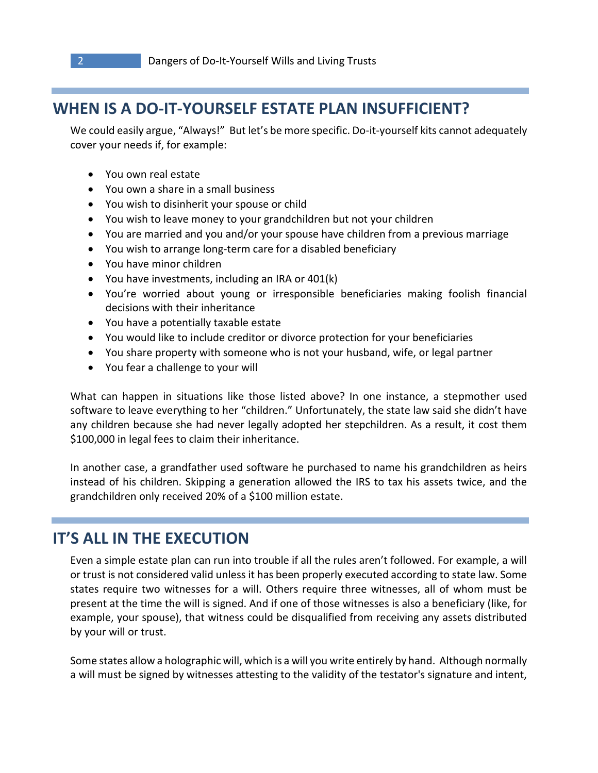## **WHEN IS A DO-IT-YOURSELF ESTATE PLAN INSUFFICIENT?**

We could easily argue, "Always!" But let's be more specific. Do-it-yourself kits cannot adequately cover your needs if, for example:

- You own real estate
- You own a share in a small business
- You wish to disinherit your spouse or child
- You wish to leave money to your grandchildren but not your children
- You are married and you and/or your spouse have children from a previous marriage
- You wish to arrange long-term care for a disabled beneficiary
- You have minor children
- You have investments, including an IRA or 401(k)
- You're worried about young or irresponsible beneficiaries making foolish financial decisions with their inheritance
- You have a potentially taxable estate
- You would like to include creditor or divorce protection for your beneficiaries
- You share property with someone who is not your husband, wife, or legal partner
- You fear a challenge to your will

What can happen in situations like those listed above? In one instance, a stepmother used software to leave everything to her "children." Unfortunately, the state law said she didn't have any children because she had never legally adopted her stepchildren. As a result, it cost them \$100,000 in legal fees to claim their inheritance.

In another case, a grandfather used software he purchased to name his grandchildren as heirs instead of his children. Skipping a generation allowed the IRS to tax his assets twice, and the grandchildren only received 20% of a \$100 million estate.

### **IT'S ALL IN THE EXECUTION**

Even a simple estate plan can run into trouble if all the rules aren't followed. For example, a will or trust is not considered valid unless it has been properly executed according to state law. Some states require two witnesses for a will. Others require three witnesses, all of whom must be present at the time the will is signed. And if one of those witnesses is also a beneficiary (like, for example, your spouse), that witness could be disqualified from receiving any assets distributed by your will or trust.

Some states allow a holographic will, which is a will you write entirely by hand. Although normally a will must be signed by witnesses attesting to the validity of the testator's signature and intent,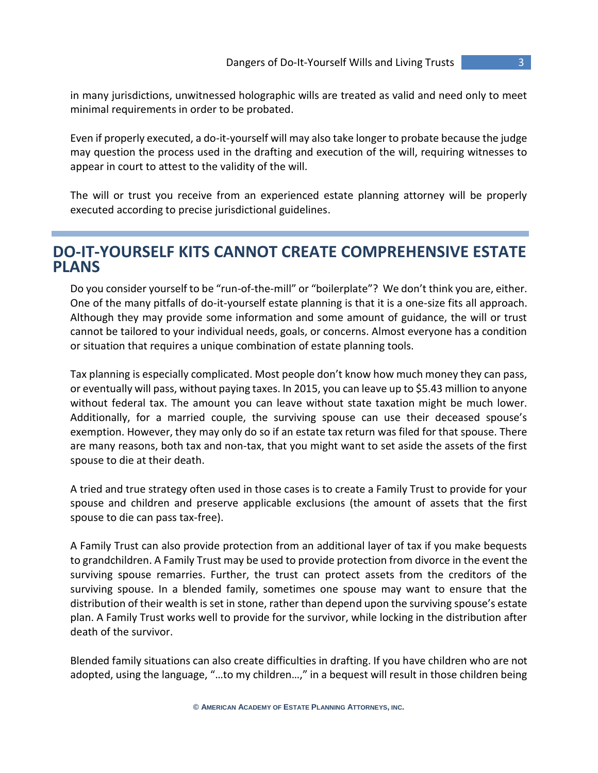in many jurisdictions, unwitnessed holographic wills are treated as valid and need only to meet minimal requirements in order to be probated.

Even if properly executed, a do-it-yourself will may also take longer to probate because the judge may question the process used in the drafting and execution of the will, requiring witnesses to appear in court to attest to the validity of the will.

The will or trust you receive from an experienced estate planning attorney will be properly executed according to precise jurisdictional guidelines.

#### **DO-IT-YOURSELF KITS CANNOT CREATE COMPREHENSIVE ESTATE PLANS**

Do you consider yourself to be "run-of-the-mill" or "boilerplate"? We don't think you are, either. One of the many pitfalls of do-it-yourself estate planning is that it is a one-size fits all approach. Although they may provide some information and some amount of guidance, the will or trust cannot be tailored to your individual needs, goals, or concerns. Almost everyone has a condition or situation that requires a unique combination of estate planning tools.

Tax planning is especially complicated. Most people don't know how much money they can pass, or eventually will pass, without paying taxes. In 2015, you can leave up to \$5.43 million to anyone without federal tax. The amount you can leave without state taxation might be much lower. Additionally, for a married couple, the surviving spouse can use their deceased spouse's exemption. However, they may only do so if an estate tax return was filed for that spouse. There are many reasons, both tax and non-tax, that you might want to set aside the assets of the first spouse to die at their death.

A tried and true strategy often used in those cases is to create a Family Trust to provide for your spouse and children and preserve applicable exclusions (the amount of assets that the first spouse to die can pass tax-free).

A Family Trust can also provide protection from an additional layer of tax if you make bequests to grandchildren. A Family Trust may be used to provide protection from divorce in the event the surviving spouse remarries. Further, the trust can protect assets from the creditors of the surviving spouse. In a blended family, sometimes one spouse may want to ensure that the distribution of their wealth is set in stone, rather than depend upon the surviving spouse's estate plan. A Family Trust works well to provide for the survivor, while locking in the distribution after death of the survivor.

Blended family situations can also create difficulties in drafting. If you have children who are not adopted, using the language, "...to my children...," in a bequest will result in those children being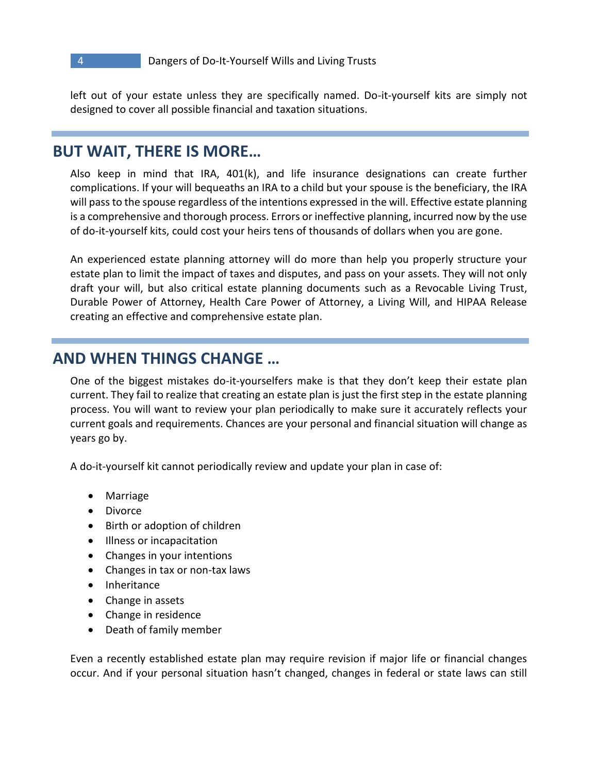left out of your estate unless they are specifically named. Do-it-yourself kits are simply not designed to cover all possible financial and taxation situations.

#### **BUT WAIT, THERE IS MORE…**

Also keep in mind that IRA, 401(k), and life insurance designations can create further complications. If your will bequeaths an IRA to a child but your spouse is the beneficiary, the IRA will pass to the spouse regardless of the intentions expressed in the will. Effective estate planning is a comprehensive and thorough process. Errors or ineffective planning, incurred now by the use of do-it-yourself kits, could cost your heirs tens of thousands of dollars when you are gone.

An experienced estate planning attorney will do more than help you properly structure your estate plan to limit the impact of taxes and disputes, and pass on your assets. They will not only draft your will, but also critical estate planning documents such as a Revocable Living Trust, Durable Power of Attorney, Health Care Power of Attorney, a Living Will, and HIPAA Release creating an effective and comprehensive estate plan.

#### **AND WHEN THINGS CHANGE …**

One of the biggest mistakes do-it-yourselfers make is that they don't keep their estate plan current. They fail to realize that creating an estate plan is just the first step in the estate planning process. You will want to review your plan periodically to make sure it accurately reflects your current goals and requirements. Chances are your personal and financial situation will change as years go by.

A do-it-yourself kit cannot periodically review and update your plan in case of:

- Marriage
- Divorce
- Birth or adoption of children
- Illness or incapacitation
- Changes in your intentions
- Changes in tax or non-tax laws
- Inheritance
- Change in assets
- Change in residence
- Death of family member

Even a recently established estate plan may require revision if major life or financial changes occur. And if your personal situation hasn't changed, changes in federal or state laws can still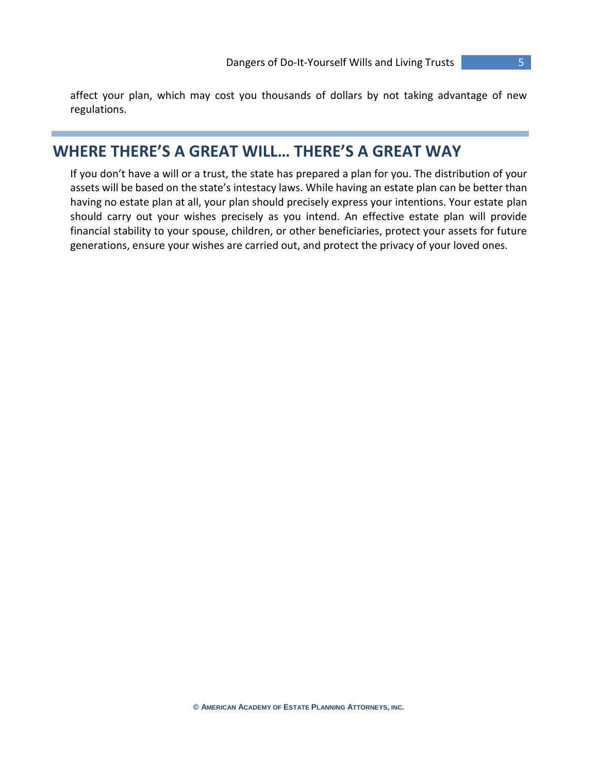affect your plan, which may cost you thousands of dollars by not taking advantage of new regulations.

## **WHERE THERE'S A GREAT WILL… THERE'S A GREAT WAY**

If you don't have a will or a trust, the state has prepared a plan for you. The distribution of your assets will be based on the state's intestacy laws. While having an estate plan can be better than having no estate plan at all, your plan should precisely express your intentions. Your estate plan should carry out your wishes precisely as you intend. An effective estate plan will provide financial stability to your spouse, children, or other beneficiaries, protect your assets for future generations, ensure your wishes are carried out, and protect the privacy of your loved ones.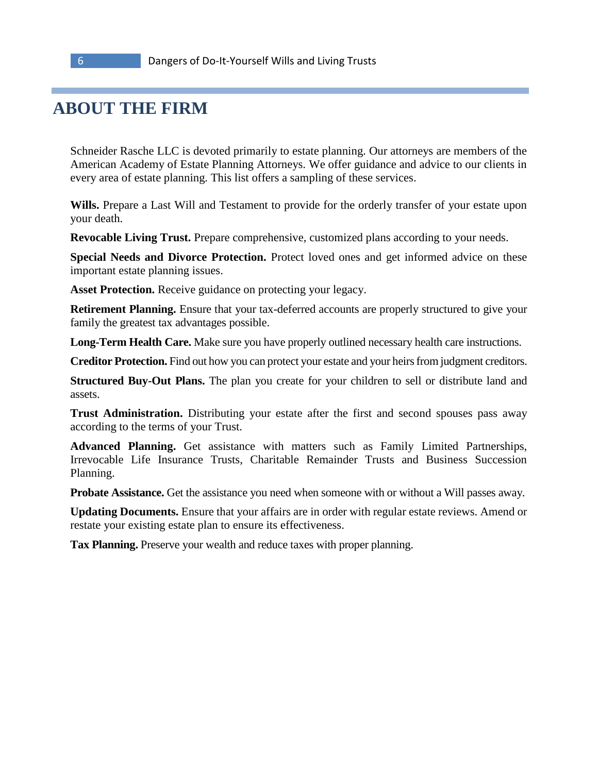# **ABOUT THE FIRM**

Schneider Rasche LLC is devoted primarily to estate planning. Our attorneys are members of the American Academy of Estate Planning Attorneys. We offer guidance and advice to our clients in every area of estate planning. This list offers a sampling of these services.

**Wills.** Prepare a Last Will and Testament to provide for the orderly transfer of your estate upon your death.

**Revocable Living Trust.** Prepare comprehensive, customized plans according to your needs.

**Special Needs and Divorce Protection.** Protect loved ones and get informed advice on these important estate planning issues.

**Asset Protection.** Receive guidance on protecting your legacy.

**Retirement Planning.** Ensure that your tax-deferred accounts are properly structured to give your family the greatest tax advantages possible.

**Long-Term Health Care.** Make sure you have properly outlined necessary health care instructions.

**Creditor Protection.** Find out how you can protect your estate and your heirs from judgment creditors.

**Structured Buy-Out Plans.** The plan you create for your children to sell or distribute land and assets.

**Trust Administration.** Distributing your estate after the first and second spouses pass away according to the terms of your Trust.

**Advanced Planning.** Get assistance with matters such as Family Limited Partnerships, Irrevocable Life Insurance Trusts, Charitable Remainder Trusts and Business Succession Planning.

**Probate Assistance.** Get the assistance you need when someone with or without a Will passes away.

**Updating Documents.** Ensure that your affairs are in order with regular estate reviews. Amend or restate your existing estate plan to ensure its effectiveness.

**Tax Planning.** Preserve your wealth and reduce taxes with proper planning.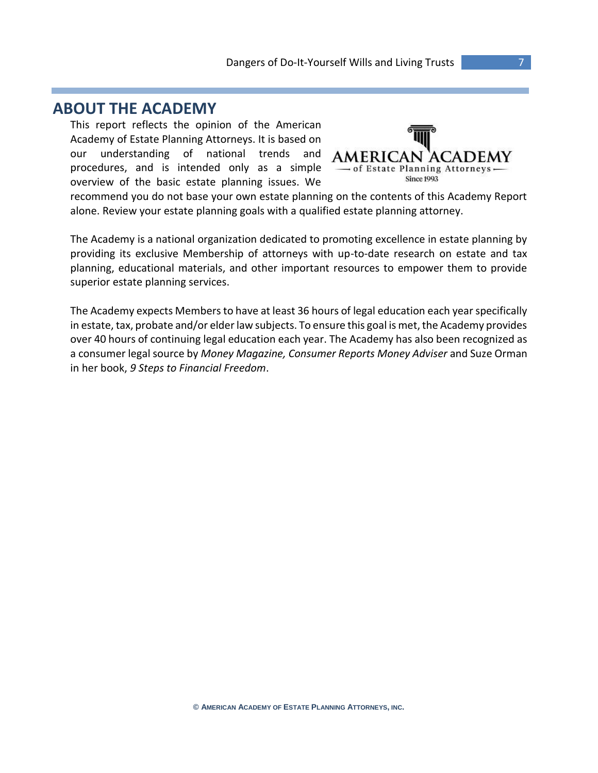#### **ABOUT THE ACADEMY**

This report reflects the opinion of the American Academy of Estate Planning Attorneys. It is based on our understanding of national trends and procedures, and is intended only as a simple overview of the basic estate planning issues. We



recommend you do not base your own estate planning on the contents of this Academy Report alone. Review your estate planning goals with a qualified estate planning attorney.

The Academy is a national organization dedicated to promoting excellence in estate planning by providing its exclusive Membership of attorneys with up-to-date research on estate and tax planning, educational materials, and other important resources to empower them to provide superior estate planning services.

The Academy expects Members to have at least 36 hours of legal education each year specifically in estate, tax, probate and/or elder law subjects. To ensure this goal is met, the Academy provides over 40 hours of continuing legal education each year. The Academy has also been recognized as a consumer legal source by *Money Magazine, Consumer Reports Money Adviser* and Suze Orman in her book, *9 Steps to Financial Freedom*.